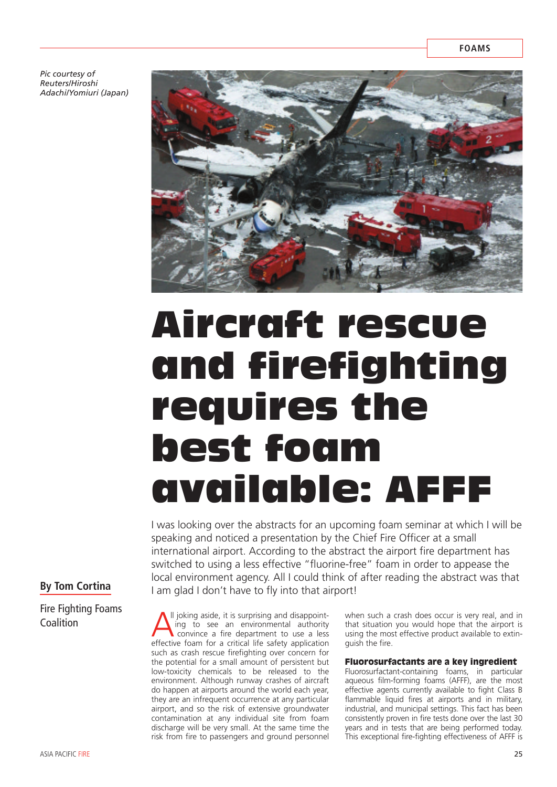*Pic courtesy of Reuters/Hiroshi Adachi/Yomiuri (Japan)* 



# Aircraft rescue and firefighting requires the best foam available: AFFF

I was looking over the abstracts for an upcoming foam seminar at which I will be speaking and noticed a presentation by the Chief Fire Officer at a small international airport. According to the abstract the airport fire department has switched to using a less effective "fluorine-free" foam in order to appease the local environment agency. All I could think of after reading the abstract was that I am glad I don't have to fly into that airport!

## **By Tom Cortina**

Fire Fighting Foams **Coalition** 

Il joking aside, it is surprising and disappointing to see an environmental authority convince a fire department to use a less effective foam for a critical life safety application such as crash rescue firefighting over concern for the potential for a small amount of persistent but low-toxicity chemicals to be released to the environment. Although runway crashes of aircraft do happen at airports around the world each year, they are an infrequent occurrence at any particular airport, and so the risk of extensive groundwater contamination at any individual site from foam discharge will be very small. At the same time the risk from fire to passengers and ground personnel

when such a crash does occur is very real, and in that situation you would hope that the airport is using the most effective product available to extinguish the fire.

## Fluorosurfactants are a key ingredient

Fluorosurfactant-containing foams, in particular aqueous film-forming foams (AFFF), are the most effective agents currently available to fight Class B flammable liquid fires at airports and in military, industrial, and municipal settings. This fact has been consistently proven in fire tests done over the last 30 years and in tests that are being performed today. This exceptional fire-fighting effectiveness of AFFF is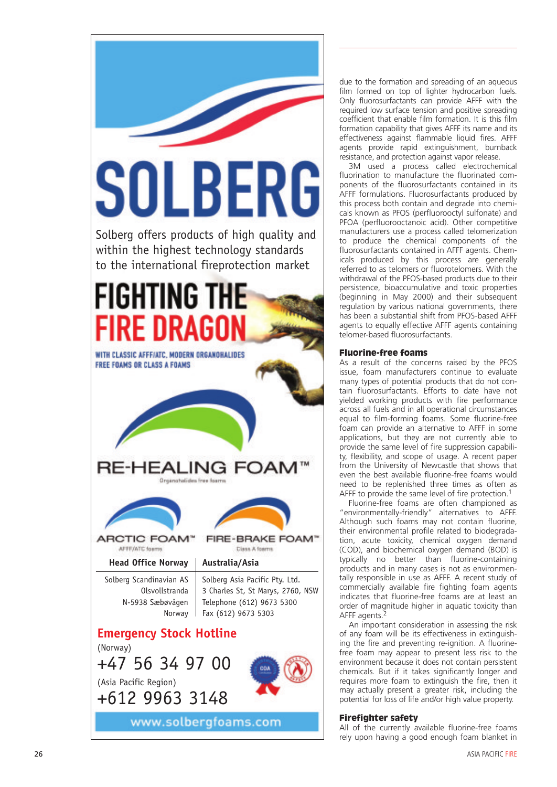

due to the formation and spreading of an aqueous film formed on top of lighter hydrocarbon fuels. Only fluorosurfactants can provide AFFF with the required low surface tension and positive spreading coefficient that enable film formation. It is this film formation capability that gives AFFF its name and its effectiveness against flammable liquid fires. AFFF agents provide rapid extinguishment, burnback resistance, and protection against vapor release.

3M used a process called electrochemical fluorination to manufacture the fluorinated components of the fluorosurfactants contained in its AFFF formulations. Fluorosurfactants produced by this process both contain and degrade into chemicals known as PFOS (perfluorooctyl sulfonate) and PFOA (perfluorooctanoic acid). Other competitive manufacturers use a process called telomerization to produce the chemical components of the fluorosurfactants contained in AFFF agents. Chemicals produced by this process are generally referred to as telomers or fluorotelomers. With the withdrawal of the PFOS-based products due to their persistence, bioaccumulative and toxic properties (beginning in May 2000) and their subsequent regulation by various national governments, there has been a substantial shift from PFOS-based AFFF agents to equally effective AFFF agents containing telomer-based fluorosurfactants.

## Fluorine-free foams

As a result of the concerns raised by the PFOS issue, foam manufacturers continue to evaluate many types of potential products that do not contain fluorosurfactants. Efforts to date have not yielded working products with fire performance across all fuels and in all operational circumstances equal to film-forming foams. Some fluorine-free foam can provide an alternative to AFFF in some applications, but they are not currently able to provide the same level of fire suppression capability, flexibility, and scope of usage. A recent paper from the University of Newcastle that shows that even the best available fluorine-free foams would need to be replenished three times as often as AFFF to provide the same level of fire protection.<sup>1</sup>

Fluorine-free foams are often championed as "environmentally-friendly" alternatives to AFFF. Although such foams may not contain fluorine, their environmental profile related to biodegradation, acute toxicity, chemical oxygen demand (COD), and biochemical oxygen demand (BOD) is typically no better than fluorine-containing products and in many cases is not as environmentally responsible in use as AFFF. A recent study of commercially available fire fighting foam agents indicates that fluorine-free foams are at least an order of magnitude higher in aquatic toxicity than AFFF agents.<sup>2</sup>

An important consideration in assessing the risk of any foam will be its effectiveness in extinguishing the fire and preventing re-ignition. A fluorinefree foam may appear to present less risk to the environment because it does not contain persistent chemicals. But if it takes significantly longer and requires more foam to extinguish the fire, then it may actually present a greater risk, including the potential for loss of life and/or high value property.

## Firefighter safety

All of the currently available fluorine-free foams rely upon having a good enough foam blanket in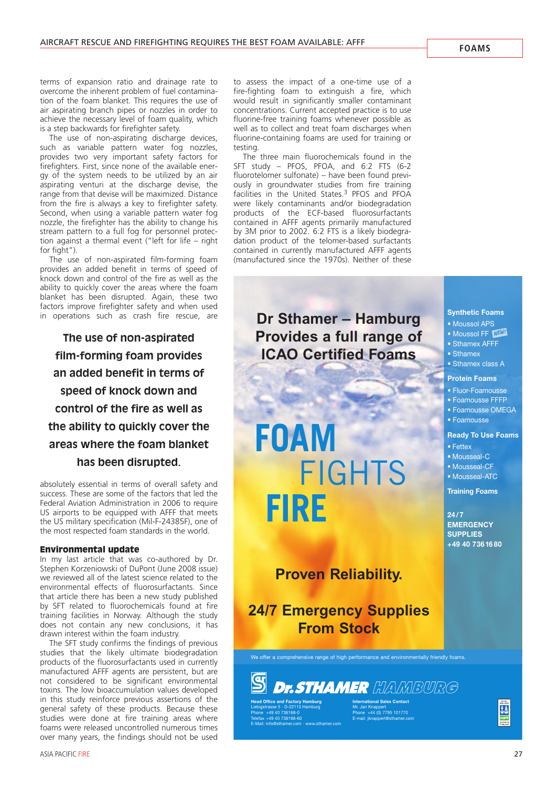terms of expansion ratio and drainage rate to overcome the inherent problem of fuel contamination of the foam blanket. This requires the use of air aspirating branch pipes or nozzles in order to achieve the necessary level of foam quality, which is a step backwards for firefighter safety.

The use of non-aspirating discharge devices, such as variable pattern water fog nozzles, provides two very important safety factors for firefighters. First, since none of the available energy of the system needs to be utilized by an air aspirating venturi at the discharge devise, the range from that devise will be maximized. Distance from the fire is always a key to firefighter safety. Second, when using a variable pattern water fog nozzle, the firefighter has the ability to change his stream pattern to a full fog for personnel protection against a thermal event ("left for life – right for fight").

The use of non-aspirated film-forming foam provides an added benefit in terms of speed of knock down and control of the fire as well as the ability to quickly cover the areas where the foam blanket has been disrupted. Again, these two factors improve firefighter safety and when used in operations such as crash fire rescue, are

**The use of non-aspirated film-forming foam provides an added benefit in terms of speed of knock down and control of the fire as well as the ability to quickly cover the areas where the foam blanket has been disrupted.**

absolutely essential in terms of overall safety and success. These are some of the factors that led the Federal Aviation Administration in 2006 to require US airports to be equipped with AFFF that meets the US military specification (Mil-F-24385F), one of the most respected foam standards in the world.

#### Environmental update

In my last article that was co-authored by Dr. Stephen Korzeniowski of DuPont (June 2008 issue) we reviewed all of the latest science related to the environmental effects of fluorosurfactants. Since that article there has been a new study published by SFT related to fluorochemicals found at fire training facilities in Norway. Although the study does not contain any new conclusions, it has drawn interest within the foam industry.

The SFT study confirms the findings of previous studies that the likely ultimate biodegradation products of the fluorosurfactants used in currently manufactured AFFF agents are persistent, but are not considered to be significant environmental toxins. The low bioaccumulation values developed in this study reinforce previous assertions of the general safety of these products. Because these studies were done at fire training areas where foams were released uncontrolled numerous times over many years, the findings should not be used

to assess the impact of a one-time use of a fire-fighting foam to extinguish a fire, which would result in significantly smaller contaminant concentrations. Current accepted practice is to use fluorine-free training foams whenever possible as well as to collect and treat foam discharges when fluorine-containing foams are used for training or testing.

The three main fluorochemicals found in the SFT study – PFOS, PFOA, and 6:2 FTS (6-2 fluorotelomer sulfonate) – have been found previously in groundwater studies from fire training facilities in the United States.<sup>3</sup> PFOS and PFOA were likely contaminants and/or biodegradation products of the ECF-based fluorosurfactants contained in AFFF agents primarily manufactured by 3M prior to 2002. 6:2 FTS is a likely biodegradation product of the telomer-based surfactants contained in currently manufactured AFFF agents (manufactured since the 1970s). Neither of these

# **Dr Sthamer – Hamburg Provides a full range of ICAO Certified Foams**

**FOAM FIGHTS FIRE**

# **Proven Reliability.**

**24/7 Emergency Supplies From Stock**

We offer a comprehensive range of high performance and environmentally friendly foams.

**Dr. STHAMER** HAMBURG **Head Office and Factory Hamburg** Liebigstrasse 5 · D-22113 Hamburg Phone +49 40 736168-0 Telefax +49 40 736168-60 E-Mail: info@sthamer.com · www.sthamer.com

**International Sales Contact** Mr. Jan Knappert Phone +44 (0) 7795 101770 E-mail: jknappert@sthamer.com

**J&** 

## **Synthetic Foams** • Moussol APS

- Moussol FF **NEW!**
- Sthamex AFFF
- Sthamex
- Sthamex class A

## **Protein Foams**

- Fluor-Foamousse
- Foamousse FFFP
- Foamousse OMEGA

## • Foamousse

• Fettex • Mousseal-C • Mousseal-CF • Mousseal-ATC **Training Foams**

**24/7 EMERGENCY SUPPLIES +49 40 73616 80**

**Ready To Use Foams**